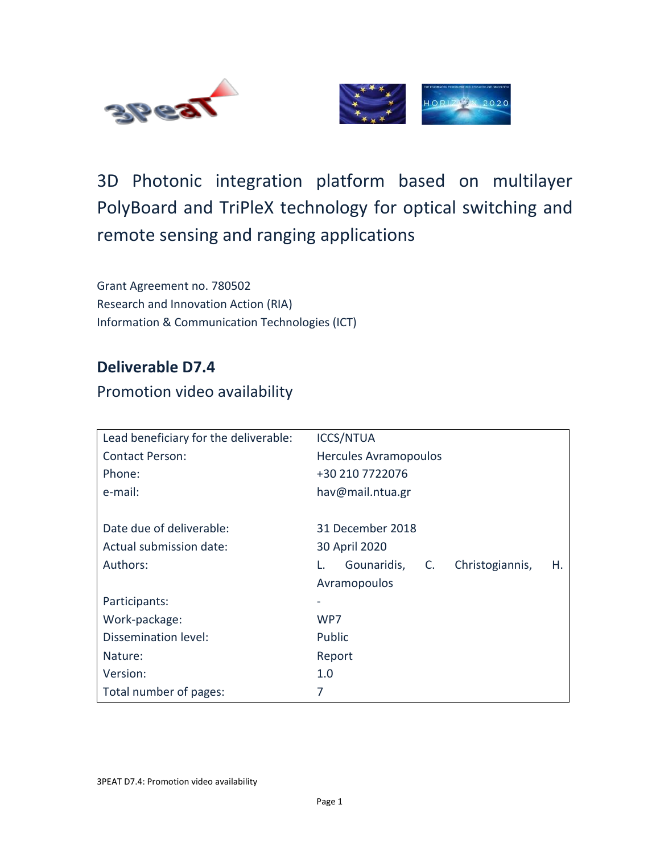



# 3D Photonic integration platform based on multilayer PolyBoard and TriPleX technology for optical switching and remote sensing and ranging applications

Grant Agreement no. 780502 Research and Innovation Action (RIA) Information & Communication Technologies (ICT)

### **Deliverable D7.4**

#### Promotion video availability

| Lead beneficiary for the deliverable: | <b>ICCS/NTUA</b>                              |  |  |
|---------------------------------------|-----------------------------------------------|--|--|
| <b>Contact Person:</b>                | <b>Hercules Avramopoulos</b>                  |  |  |
| Phone:                                | +30 210 7722076                               |  |  |
| e-mail:                               | hav@mail.ntua.gr                              |  |  |
|                                       |                                               |  |  |
| Date due of deliverable:              | 31 December 2018                              |  |  |
| Actual submission date:               | 30 April 2020                                 |  |  |
| Authors:                              | Gounaridis, C.<br>Christogiannis,<br>L.<br>Η. |  |  |
|                                       | Avramopoulos                                  |  |  |
| Participants:                         |                                               |  |  |
| Work-package:                         | WP7                                           |  |  |
| Dissemination level:                  | Public                                        |  |  |
| Nature:                               | Report                                        |  |  |
| Version:                              | 1.0                                           |  |  |
| Total number of pages:                | 7                                             |  |  |

3PEAT D7.4: Promotion video availability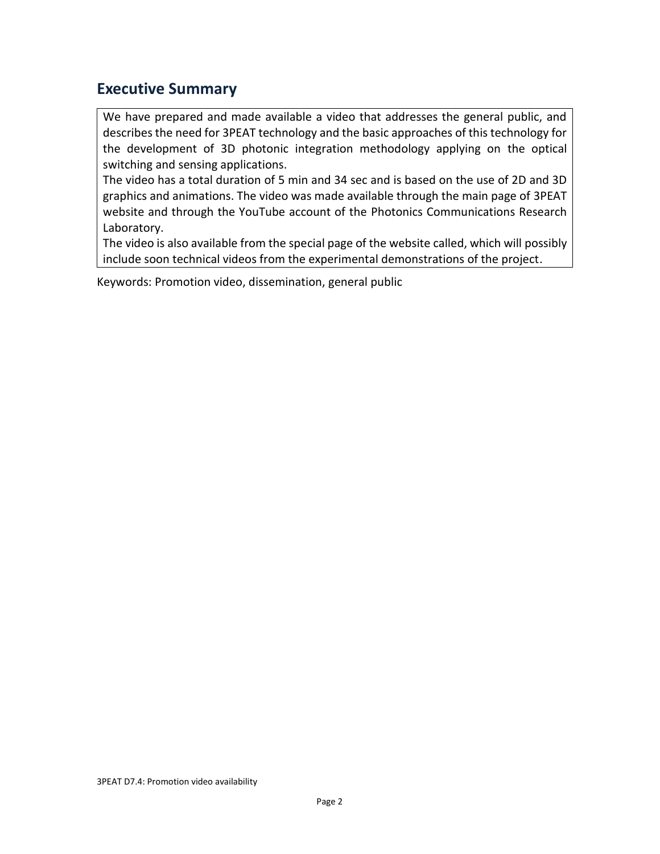### <span id="page-1-0"></span>**Executive Summary**

We have prepared and made available a video that addresses the general public, and describes the need for 3PEAT technology and the basic approaches of this technology for the development of 3D photonic integration methodology applying on the optical switching and sensing applications.

The video has a total duration of 5 min and 34 sec and is based on the use of 2D and 3D graphics and animations. The video was made available through the main page of 3PEAT website and through the YouTube account of the Photonics Communications Research Laboratory.

The video is also available from the special page of the website called, which will possibly include soon technical videos from the experimental demonstrations of the project.

Keywords: Promotion video, dissemination, general public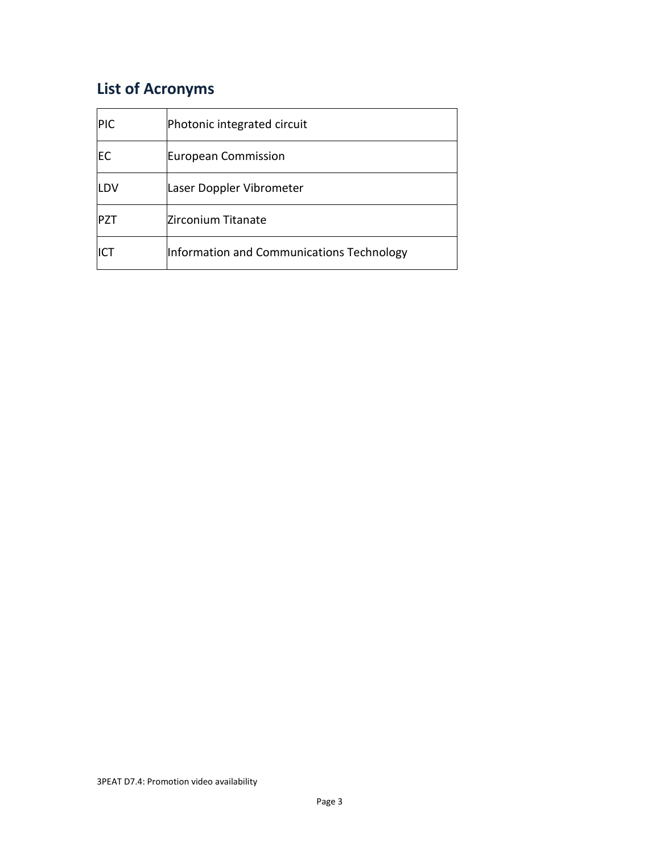# <span id="page-2-0"></span>**List of Acronyms**

| PIC | Photonic integrated circuit               |
|-----|-------------------------------------------|
| EC  | European Commission                       |
| LDV | Laser Doppler Vibrometer                  |
| PZT | Zirconium Titanate                        |
| ICT | Information and Communications Technology |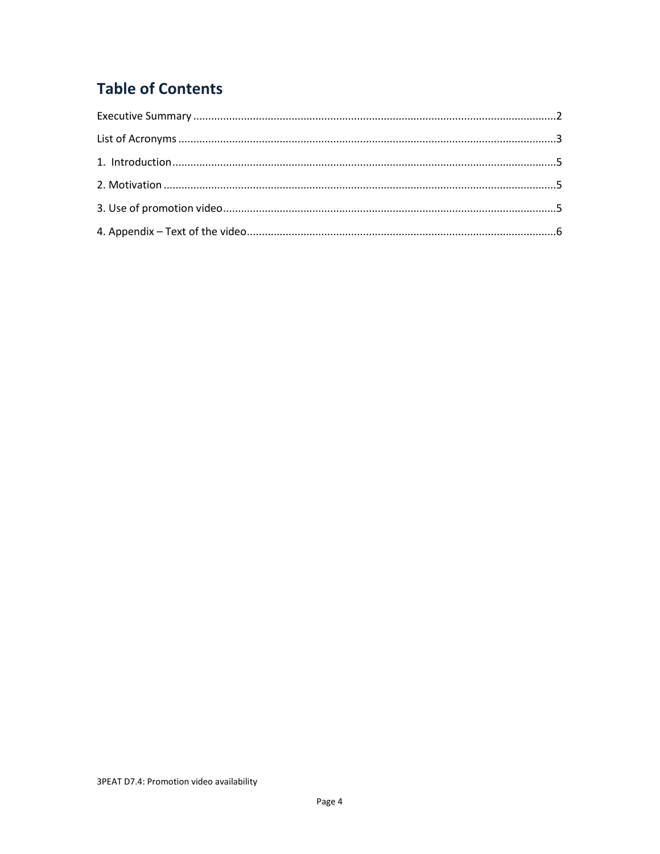# **Table of Contents**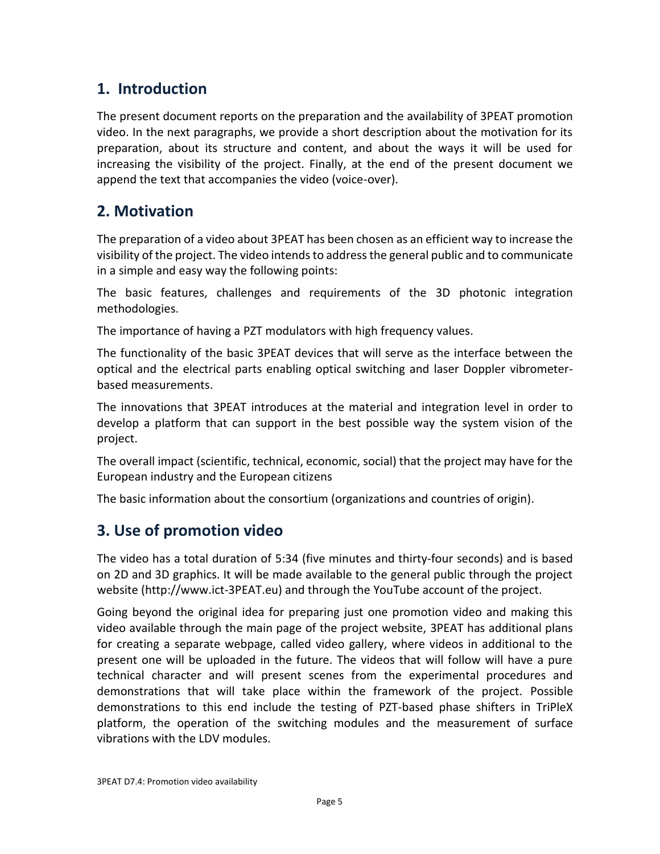### <span id="page-4-0"></span>**1. Introduction**

The present document reports on the preparation and the availability of 3PEAT promotion video. In the next paragraphs, we provide a short description about the motivation for its preparation, about its structure and content, and about the ways it will be used for increasing the visibility of the project. Finally, at the end of the present document we append the text that accompanies the video (voice-over).

### <span id="page-4-1"></span>**2. Motivation**

The preparation of a video about 3PEAT has been chosen as an efficient way to increase the visibility of the project. The video intends to address the general public and to communicate in a simple and easy way the following points:

The basic features, challenges and requirements of the 3D photonic integration methodologies.

The importance of having a PZT modulators with high frequency values.

The functionality of the basic 3PEAT devices that will serve as the interface between the optical and the electrical parts enabling optical switching and laser Doppler vibrometerbased measurements.

The innovations that 3PEAT introduces at the material and integration level in order to develop a platform that can support in the best possible way the system vision of the project.

The overall impact (scientific, technical, economic, social) that the project may have for the European industry and the European citizens

The basic information about the consortium (organizations and countries of origin).

## <span id="page-4-2"></span>**3. Use of promotion video**

The video has a total duration of 5:34 (five minutes and thirty-four seconds) and is based on 2D and 3D graphics. It will be made available to the general public through the project website (http://www.ict-3PEAT.eu) and through the YouTube account of the project.

Going beyond the original idea for preparing just one promotion video and making this video available through the main page of the project website, 3PEAT has additional plans for creating a separate webpage, called video gallery, where videos in additional to the present one will be uploaded in the future. The videos that will follow will have a pure technical character and will present scenes from the experimental procedures and demonstrations that will take place within the framework of the project. Possible demonstrations to this end include the testing of PZT-based phase shifters in TriPleX platform, the operation of the switching modules and the measurement of surface vibrations with the LDV modules.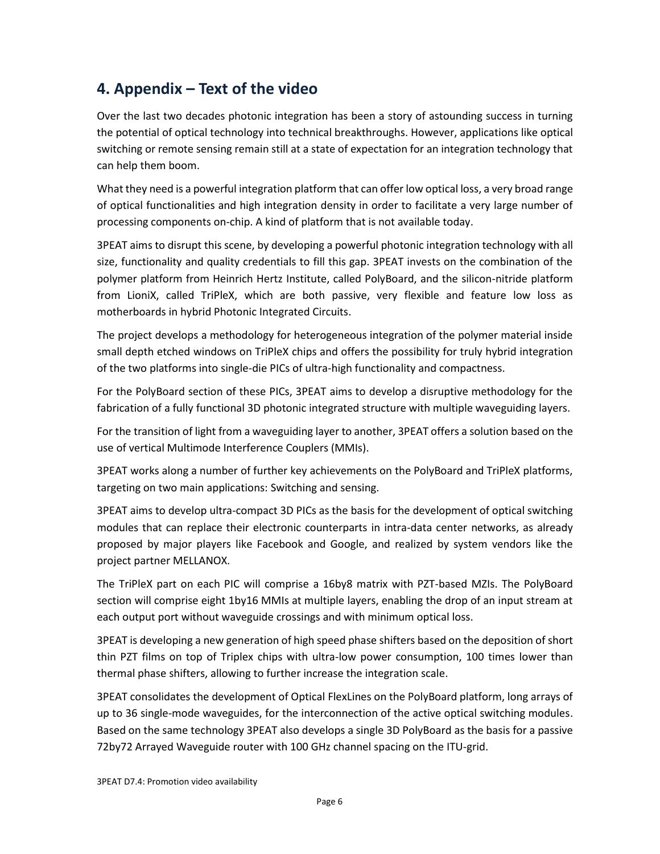### <span id="page-5-0"></span>**4. Appendix – Text of the video**

Over the last two decades photonic integration has been a story of astounding success in turning the potential of optical technology into technical breakthroughs. However, applications like optical switching or remote sensing remain still at a state of expectation for an integration technology that can help them boom.

What they need is a powerful integration platform that can offer low optical loss, a very broad range of optical functionalities and high integration density in order to facilitate a very large number of processing components on-chip. A kind of platform that is not available today.

3PEAT aims to disrupt this scene, by developing a powerful photonic integration technology with all size, functionality and quality credentials to fill this gap. 3PEAT invests on the combination of the polymer platform from Heinrich Hertz Institute, called PolyBoard, and the silicon-nitride platform from LioniX, called TriPleX, which are both passive, very flexible and feature low loss as motherboards in hybrid Photonic Integrated Circuits.

The project develops a methodology for heterogeneous integration of the polymer material inside small depth etched windows on TriPleX chips and offers the possibility for truly hybrid integration of the two platforms into single-die PICs of ultra-high functionality and compactness.

For the PolyBoard section of these PICs, 3PEAT aims to develop a disruptive methodology for the fabrication of a fully functional 3D photonic integrated structure with multiple waveguiding layers.

For the transition of light from a waveguiding layer to another, 3PEAT offers a solution based on the use of vertical Multimode Interference Couplers (MMIs).

3PEAT works along a number of further key achievements on the PolyBoard and TriPleX platforms, targeting on two main applications: Switching and sensing.

3PEAT aims to develop ultra-compact 3D PICs as the basis for the development of optical switching modules that can replace their electronic counterparts in intra-data center networks, as already proposed by major players like Facebook and Google, and realized by system vendors like the project partner MELLANOX.

The TriPleX part on each PIC will comprise a 16by8 matrix with PZT-based MZIs. The PolyBoard section will comprise eight 1by16 MMIs at multiple layers, enabling the drop of an input stream at each output port without waveguide crossings and with minimum optical loss.

3PEAT is developing a new generation of high speed phase shifters based on the deposition of short thin PZT films on top of Triplex chips with ultra-low power consumption, 100 times lower than thermal phase shifters, allowing to further increase the integration scale.

3PEAT consolidates the development of Optical FlexLines on the PolyBoard platform, long arrays of up to 36 single-mode waveguides, for the interconnection of the active optical switching modules. Based on the same technology 3PEAT also develops a single 3D PolyBoard as the basis for a passive 72by72 Arrayed Waveguide router with 100 GHz channel spacing on the ITU-grid.